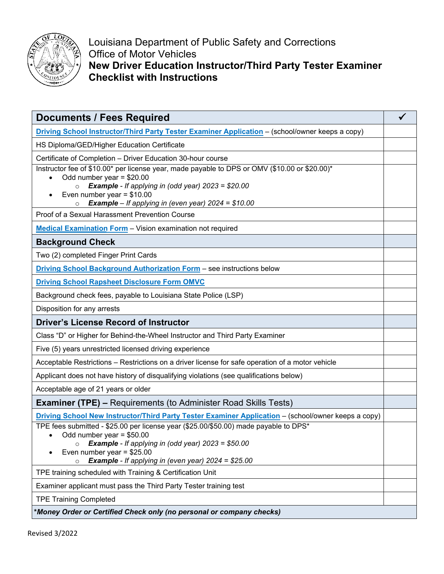

Louisiana Department of Public Safety and Corrections Office of Motor Vehicles **New Driver Education Instructor/Third Party Tester Examiner Checklist with Instructions**

| <b>Documents / Fees Required</b>                                                                                            |  |
|-----------------------------------------------------------------------------------------------------------------------------|--|
| Driving School Instructor/Third Party Tester Examiner Application - (school/owner keeps a copy)                             |  |
| HS Diploma/GED/Higher Education Certificate                                                                                 |  |
| Certificate of Completion - Driver Education 30-hour course                                                                 |  |
| Instructor fee of \$10.00* per license year, made payable to DPS or OMV (\$10.00 or \$20.00)*<br>Odd number year = $$20.00$ |  |
| $\circ$ Example - If applying in (odd year) 2023 = \$20.00                                                                  |  |
| Even number year = $$10.00$<br><b>Example</b> – If applying in (even year) $2024 = $10.00$<br>$\circ$                       |  |
| Proof of a Sexual Harassment Prevention Course                                                                              |  |
| <b>Medical Examination Form</b> - Vision examination not required                                                           |  |
| <b>Background Check</b>                                                                                                     |  |
| Two (2) completed Finger Print Cards                                                                                        |  |
| Driving School Background Authorization Form - see instructions below                                                       |  |
| <b>Driving School Rapsheet Disclosure Form OMVC</b>                                                                         |  |
| Background check fees, payable to Louisiana State Police (LSP)                                                              |  |
| Disposition for any arrests                                                                                                 |  |
| <b>Driver's License Record of Instructor</b>                                                                                |  |
| Class "D" or Higher for Behind-the-Wheel Instructor and Third Party Examiner                                                |  |
| Five (5) years unrestricted licensed driving experience                                                                     |  |
| Acceptable Restrictions – Restrictions on a driver license for safe operation of a motor vehicle                            |  |
| Applicant does not have history of disqualifying violations (see qualifications below)                                      |  |
| Acceptable age of 21 years or older                                                                                         |  |
| <b>Examiner (TPE) – Requirements (to Administer Road Skills Tests)</b>                                                      |  |
| <b>Driving School New Instructor/Third Party Tester Examiner Application</b> - (school/owner keeps a copy)                  |  |
| TPE fees submitted - \$25.00 per license year (\$25.00/\$50.00) made payable to DPS*<br>Odd number year = $$50.00$          |  |
| <b>Example</b> - If applying in (odd year) $2023 = $50.00$<br>$\circ$                                                       |  |
| Even number year = $$25.00$<br><b>Example</b> - If applying in (even year) $2024 = $25.00$<br>$\circ$                       |  |
| TPE training scheduled with Training & Certification Unit                                                                   |  |
| Examiner applicant must pass the Third Party Tester training test                                                           |  |
| <b>TPE Training Completed</b>                                                                                               |  |
| *Money Order or Certified Check only (no personal or company checks)                                                        |  |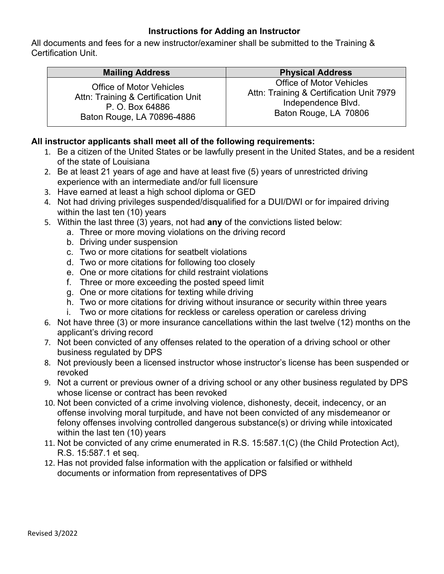## **Instructions for Adding an Instructor**

All documents and fees for a new instructor/examiner shall be submitted to the Training & Certification Unit.

| <b>Mailing Address</b>              | <b>Physical Address</b>                  |
|-------------------------------------|------------------------------------------|
| <b>Office of Motor Vehicles</b>     | <b>Office of Motor Vehicles</b>          |
| Attn: Training & Certification Unit | Attn: Training & Certification Unit 7979 |
| P. O. Box 64886                     | Independence Blvd.                       |
| Baton Rouge, LA 70896-4886          | Baton Rouge, LA 70806                    |

### **All instructor applicants shall meet all of the following requirements:**

- 1. Be a citizen of the United States or be lawfully present in the United States, and be a resident of the state of Louisiana
- 2. Be at least 21 years of age and have at least five (5) years of unrestricted driving experience with an intermediate and/or full licensure
- 3. Have earned at least a high school diploma or GED
- 4. Not had driving privileges suspended/disqualified for a DUI/DWI or for impaired driving within the last ten (10) years
- 5. Within the last three (3) years, not had **any** of the convictions listed below:
	- a. Three or more moving violations on the driving record
	- b. Driving under suspension
	- c. Two or more citations for seatbelt violations
	- d. Two or more citations for following too closely
	- e. One or more citations for child restraint violations
	- f. Three or more exceeding the posted speed limit
	- g. One or more citations for texting while driving
	- h. Two or more citations for driving without insurance or security within three years
	- i. Two or more citations for reckless or careless operation or careless driving
- 6. Not have three (3) or more insurance cancellations within the last twelve (12) months on the applicant's driving record
- 7. Not been convicted of any offenses related to the operation of a driving school or other business regulated by DPS
- 8. Not previously been a licensed instructor whose instructor's license has been suspended or revoked
- 9. Not a current or previous owner of a driving school or any other business regulated by DPS whose license or contract has been revoked
- 10. Not been convicted of a crime involving violence, dishonesty, deceit, indecency, or an offense involving moral turpitude, and have not been convicted of any misdemeanor or felony offenses involving controlled dangerous substance(s) or driving while intoxicated within the last ten (10) years
- 11. Not be convicted of any crime enumerated in R.S. 15:587.1(C) (the Child Protection Act), R.S. 15:587.1 et seq.
- 12. Has not provided false information with the application or falsified or withheld documents or information from representatives of DPS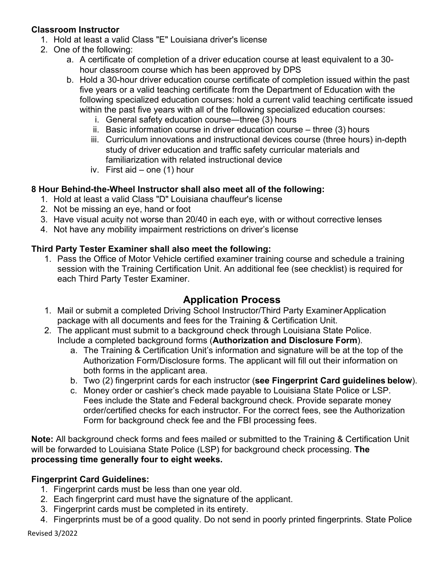## **Classroom Instructor**

- 1. Hold at least a valid Class "E" Louisiana driver's license
- 2. One of the following:
	- a. A certificate of completion of a driver education course at least equivalent to a 30 hour classroom course which has been approved by DPS
	- b. Hold a 30-hour driver education course certificate of completion issued within the past five years or a valid teaching certificate from the Department of Education with the following specialized education courses: hold a current valid teaching certificate issued within the past five years with all of the following specialized education courses:
		- i. General safety education course―three (3) hours
		- ii. Basic information course in driver education course three (3) hours
		- iii. Curriculum innovations and instructional devices course (three hours) in-depth study of driver education and traffic safety curricular materials and familiarization with related instructional device
		- iv. First aid one (1) hour

### **8 Hour Behind-the-Wheel Instructor shall also meet all of the following:**

- 1. Hold at least a valid Class "D" Louisiana chauffeur's license
- 2. Not be missing an eye, hand or foot
- 3. Have visual acuity not worse than 20/40 in each eye, with or without corrective lenses
- 4. Not have any mobility impairment restrictions on driver's license

### **Third Party Tester Examiner shall also meet the following:**

1. Pass the Office of Motor Vehicle certified examiner training course and schedule a training session with the Training Certification Unit. An additional fee (see checklist) is required for each Third Party Tester Examiner.

# **Application Process**

- 1. Mail or submit a completed Driving School Instructor/Third Party ExaminerApplication package with all documents and fees for the Training & Certification Unit.
- 2. The applicant must submit to a background check through Louisiana State Police. Include a completed background forms (**Authorization and Disclosure Form**).
	- a. The Training & Certification Unit's information and signature will be at the top of the Authorization Form/Disclosure forms. The applicant will fill out their information on both forms in the applicant area.
	- b. Two (2) fingerprint cards for each instructor (**see Fingerprint Card guidelines below**).
	- c. Money order or cashier's check made payable to Louisiana State Police or LSP. Fees include the State and Federal background check. Provide separate money order/certified checks for each instructor. For the correct fees, see the Authorization Form for background check fee and the FBI processing fees.

**Note:** All background check forms and fees mailed or submitted to the Training & Certification Unit will be forwarded to Louisiana State Police (LSP) for background check processing. **The processing time generally four to eight weeks.**

## **Fingerprint Card Guidelines:**

- 1. Fingerprint cards must be less than one year old.
- 2. Each fingerprint card must have the signature of the applicant.
- 3. Fingerprint cards must be completed in its entirety.
- 4. Fingerprints must be of a good quality. Do not send in poorly printed fingerprints. State Police